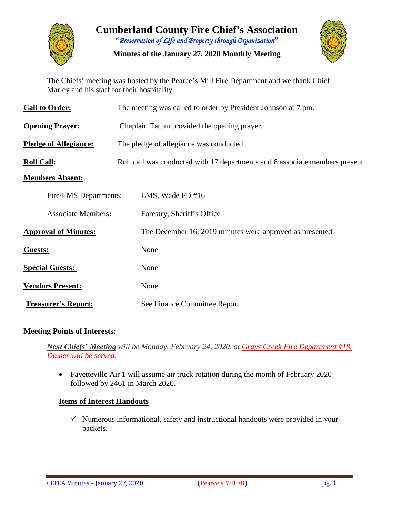

**Cumberland County Fire Chief's Association "***Preservation of Life and Property through Organization***"**

**Minutes of the January 27, 2020 Monthly Meeting**



The Chiefs' meeting was hosted by the Pearce's Mill Fire Department and we thank Chief Marley and his staff for their hospitality.

| <b>Call to Order:</b>        | The meeting was called to order by President Johnson at 7 pm.                |  |  |  |  |  |  |  |  |  |
|------------------------------|------------------------------------------------------------------------------|--|--|--|--|--|--|--|--|--|
| <b>Opening Prayer:</b>       | Chaplain Tatum provided the opening prayer.                                  |  |  |  |  |  |  |  |  |  |
| <b>Pledge of Allegiance:</b> | The pledge of allegiance was conducted.                                      |  |  |  |  |  |  |  |  |  |
| <b>Roll Call:</b>            | Roll call was conducted with 17 departments and 8 associate members present. |  |  |  |  |  |  |  |  |  |
| <b>Members Absent:</b>       |                                                                              |  |  |  |  |  |  |  |  |  |
| Fire/EMS Departments:        | EMS, Wade FD #16                                                             |  |  |  |  |  |  |  |  |  |
| <b>Associate Members:</b>    | Forestry, Sheriff's Office                                                   |  |  |  |  |  |  |  |  |  |
| <b>Approval of Minutes:</b>  | The December 16, 2019 minutes were approved as presented.                    |  |  |  |  |  |  |  |  |  |
| Guests:                      | None                                                                         |  |  |  |  |  |  |  |  |  |
| <b>Special Guests:</b>       | None                                                                         |  |  |  |  |  |  |  |  |  |
| <b>Vendors Present:</b>      | None                                                                         |  |  |  |  |  |  |  |  |  |
| <b>Treasurer's Report:</b>   | See Finance Committee Report                                                 |  |  |  |  |  |  |  |  |  |

#### **Meeting Points of Interests:**

*Next Chiefs' Meeting will be Monday, February 24, 2020, at Grays Creek Fire Department #18. Dinner will be served.*

• Fayetteville Air 1 will assume air truck rotation during the month of February 2020 followed by 2461 in March 2020.

### **Items of Interest Handouts**

 $\checkmark$  Numerous informational, safety and instructional handouts were provided in your packets.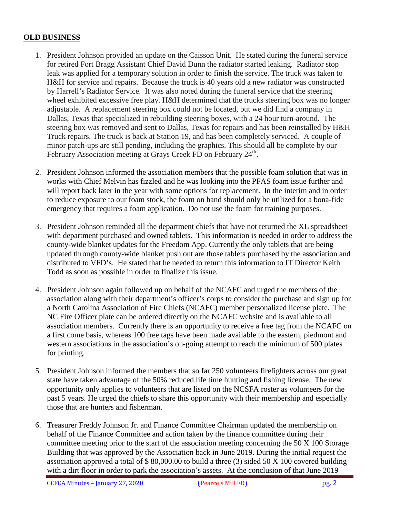#### **OLD BUSINESS**

- 1. President Johnson provided an update on the Caisson Unit. He stated during the funeral service for retired Fort Bragg Assistant Chief David Dunn the radiator started leaking. Radiator stop leak was applied for a temporary solution in order to finish the service. The truck was taken to H&H for service and repairs. Because the truck is 40 years old a new radiator was constructed by Harrell's Radiator Service. It was also noted during the funeral service that the steering wheel exhibited excessive free play. H&H determined that the trucks steering box was no longer adjustable. A replacement steering box could not be located, but we did find a company in Dallas, Texas that specialized in rebuilding steering boxes, with a 24 hour turn-around. The steering box was removed and sent to Dallas, Texas for repairs and has been reinstalled by H&H Truck repairs. The truck is back at Station 19, and has been completely serviced. A couple of minor patch-ups are still pending, including the graphics. This should all be complete by our February Association meeting at Grays Creek FD on February 24<sup>th</sup>.
- 2. President Johnson informed the association members that the possible foam solution that was in works with Chief Melvin has fizzled and he was looking into the PFAS foam issue further and will report back later in the year with some options for replacement. In the interim and in order to reduce exposure to our foam stock, the foam on hand should only be utilized for a bona-fide emergency that requires a foam application. Do not use the foam for training purposes.
- 3. President Johnson reminded all the department chiefs that have not returned the XL spreadsheet with department purchased and owned tablets. This information is needed in order to address the county-wide blanket updates for the Freedom App. Currently the only tablets that are being updated through county-wide blanket push out are those tablets purchased by the association and distributed to VFD's. He stated that he needed to return this information to IT Director Keith Todd as soon as possible in order to finalize this issue.
- 4. President Johnson again followed up on behalf of the NCAFC and urged the members of the association along with their department's officer's corps to consider the purchase and sign up for a North Carolina Association of Fire Chiefs (NCAFC) member personalized license plate. The NC Fire Officer plate can be ordered directly on the NCAFC website and is available to all association members. Currently there is an opportunity to receive a free tag from the NCAFC on a first come basis, whereas 100 free tags have been made available to the eastern, piedmont and western associations in the association's on-going attempt to reach the minimum of 500 plates for printing.
- 5. President Johnson informed the members that so far 250 volunteers firefighters across our great state have taken advantage of the 50% reduced life time hunting and fishing license. The new opportunity only applies to volunteers that are listed on the NCSFA roster as volunteers for the past 5 years. He urged the chiefs to share this opportunity with their membership and especially those that are hunters and fisherman.
- 6. Treasurer Freddy Johnson Jr. and Finance Committee Chairman updated the membership on behalf of the Finance Committee and action taken by the finance committee during their committee meeting prior to the start of the association meeting concerning the 50 X 100 Storage Building that was approved by the Association back in June 2019. During the initial request the association approved a total of \$ 80,000.00 to build a three (3) sided 50 X 100 covered building with a dirt floor in order to park the association's assets. At the conclusion of that June 2019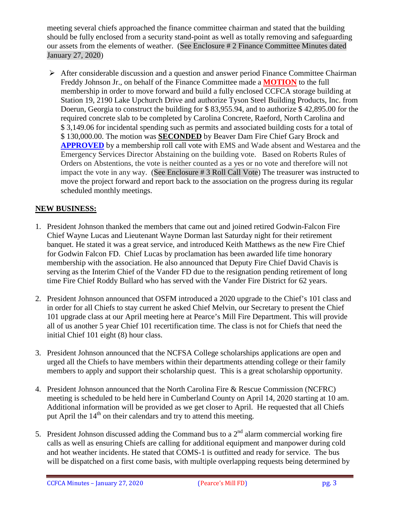meeting several chiefs approached the finance committee chairman and stated that the building should be fully enclosed from a security stand-point as well as totally removing and safeguarding our assets from the elements of weather. (See Enclosure # 2 Finance Committee Minutes dated January 27, 2020)

 After considerable discussion and a question and answer period Finance Committee Chairman Freddy Johnson Jr., on behalf of the Finance Committee made a **MOTION** to the full membership in order to move forward and build a fully enclosed CCFCA storage building at Station 19, 2190 Lake Upchurch Drive and authorize Tyson Steel Building Products, Inc. from Doerun, Georgia to construct the building for \$ 83,955.94, and to authorize \$ 42,895.00 for the required concrete slab to be completed by Carolina Concrete, Raeford, North Carolina and \$ 3,149.06 for incidental spending such as permits and associated building costs for a total of \$ 130,000.00. The motion was **SECONDED** by Beaver Dam Fire Chief Gary Brock and **APPROVED** by a membership roll call vote with EMS and Wade absent and Westarea and the Emergency Services Director Abstaining on the building vote. Based on Roberts Rules of Orders on Abstentions, the vote is neither counted as a yes or no vote and therefore will not impact the vote in any way. (See Enclosure # 3 Roll Call Vote) The treasurer was instructed to move the project forward and report back to the association on the progress during its regular scheduled monthly meetings.

### **NEW BUSINESS:**

- 1. President Johnson thanked the members that came out and joined retired Godwin-Falcon Fire Chief Wayne Lucas and Lieutenant Wayne Dorman last Saturday night for their retirement banquet. He stated it was a great service, and introduced Keith Matthews as the new Fire Chief for Godwin Falcon FD. Chief Lucas by proclamation has been awarded life time honorary membership with the association. He also announced that Deputy Fire Chief David Chavis is serving as the Interim Chief of the Vander FD due to the resignation pending retirement of long time Fire Chief Roddy Bullard who has served with the Vander Fire District for 62 years.
- 2. President Johnson announced that OSFM introduced a 2020 upgrade to the Chief's 101 class and in order for all Chiefs to stay current he asked Chief Melvin, our Secretary to present the Chief 101 upgrade class at our April meeting here at Pearce's Mill Fire Department. This will provide all of us another 5 year Chief 101 recertification time. The class is not for Chiefs that need the initial Chief 101 eight (8) hour class.
- 3. President Johnson announced that the NCFSA College scholarships applications are open and urged all the Chiefs to have members within their departments attending college or their family members to apply and support their scholarship quest. This is a great scholarship opportunity.
- 4. President Johnson announced that the North Carolina Fire & Rescue Commission (NCFRC) meeting is scheduled to be held here in Cumberland County on April 14, 2020 starting at 10 am. Additional information will be provided as we get closer to April. He requested that all Chiefs put April the  $14<sup>th</sup>$  on their calendars and try to attend this meeting.
- 5. President Johnson discussed adding the Command bus to a  $2<sup>nd</sup>$  alarm commercial working fire calls as well as ensuring Chiefs are calling for additional equipment and manpower during cold and hot weather incidents. He stated that COMS-1 is outfitted and ready for service. The bus will be dispatched on a first come basis, with multiple overlapping requests being determined by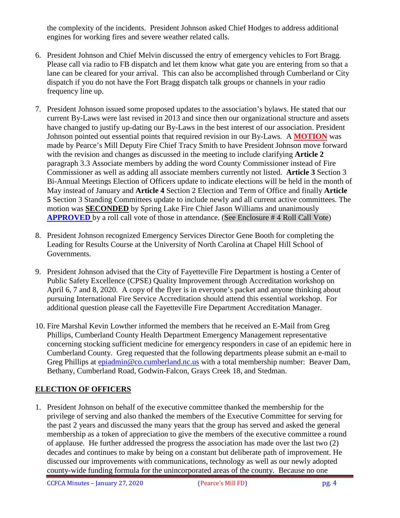the complexity of the incidents. President Johnson asked Chief Hodges to address additional engines for working fires and severe weather related calls.

- 6. President Johnson and Chief Melvin discussed the entry of emergency vehicles to Fort Bragg. Please call via radio to FB dispatch and let them know what gate you are entering from so that a lane can be cleared for your arrival. This can also be accomplished through Cumberland or City dispatch if you do not have the Fort Bragg dispatch talk groups or channels in your radio frequency line up.
- 7. President Johnson issued some proposed updates to the association's bylaws. He stated that our current By-Laws were last revised in 2013 and since then our organizational structure and assets have changed to justify up-dating our By-Laws in the best interest of our association. President Johnson pointed out essential points that required revision in our By-Laws. A **MOTION** was made by Pearce's Mill Deputy Fire Chief Tracy Smith to have President Johnson move forward with the revision and changes as discussed in the meeting to include clarifying **Article 2** paragraph 3.3 Associate members by adding the word County Commissioner instead of Fire Commissioner as well as adding all associate members currently not listed. **Article 3** Section 3 Bi-Annual Meetings Election of Officers update to indicate elections will be held in the month of May instead of January and **Article 4** Section 2 Election and Term of Office and finally **Article 5** Section 3 Standing Committees update to include newly and all current active committees. The motion was **SECONDED** by Spring Lake Fire Chief Jason Williams and unanimously **APPROVED** by a roll call vote of those in attendance. (See Enclosure # 4 Roll Call Vote)
- 8. President Johnson recognized Emergency Services Director Gene Booth for completing the Leading for Results Course at the University of North Carolina at Chapel Hill School of Governments.
- 9. President Johnson advised that the City of Fayetteville Fire Department is hosting a Center of Public Safety Excellence (CPSE) Quality Improvement through Accreditation workshop on April 6, 7 and 8, 2020. A copy of the flyer is in everyone's packet and anyone thinking about pursuing International Fire Service Accreditation should attend this essential workshop. For additional question please call the Fayetteville Fire Department Accreditation Manager.
- 10. Fire Marshal Kevin Lowther informed the members that he received an E-Mail from Greg Phillips, Cumberland County Health Department Emergency Management representative concerning stocking sufficient medicine for emergency responders in case of an epidemic here in Cumberland County. Greg requested that the following departments please submit an e-mail to Greg Phillips at [epiadmin@co.cumberland.nc.us](mailto:epiadmin@co.cumberland.nc.us) with a total membership number: Beaver Dam, Bethany, Cumberland Road, Godwin-Falcon, Grays Creek 18, and Stedman.

# **ELECTION OF OFFICERS**

1. President Johnson on behalf of the executive committee thanked the membership for the privilege of serving and also thanked the members of the Executive Committee for serving for the past 2 years and discussed the many years that the group has served and asked the general membership as a token of appreciation to give the members of the executive committee a round of applause. He further addressed the progress the association has made over the last two (2) decades and continues to make by being on a constant but deliberate path of improvement. He discussed our improvements with communications, technology as well as our newly adopted county-wide funding formula for the unincorporated areas of the county. Because no one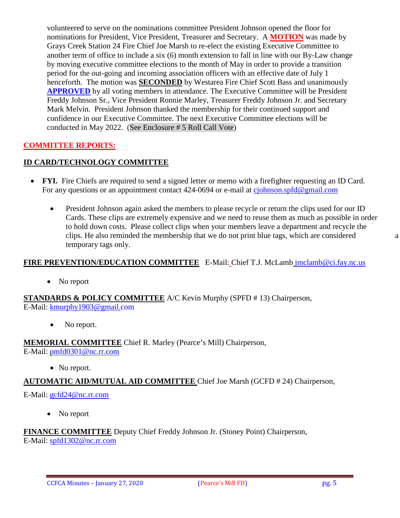volunteered to serve on the nominations committee President Johnson opened the floor for nominations for President, Vice President, Treasurer and Secretary. A **MOTION** was made by Grays Creek Station 24 Fire Chief Joe Marsh to re-elect the existing Executive Committee to another term of office to include a six (6) month extension to fall in line with our By-Law change by moving executive committee elections to the month of May in order to provide a transition period for the out-going and incoming association officers with an effective date of July 1 henceforth. The motion was **SECONDED** by Westarea Fire Chief Scott Bass and unanimously **APPROVED** by all voting members in attendance. The Executive Committee will be President Freddy Johnson Sr., Vice President Ronnie Marley, Treasurer Freddy Johnson Jr. and Secretary Mark Melvin. President Johnson thanked the membership for their continued support and confidence in our Executive Committee. The next Executive Committee elections will be conducted in May 2022. (See Enclosure # 5 Roll Call Vote)

### **COMMITTEE REPORTS:**

# **ID CARD/TECHNOLOGY COMMITTEE**

- **FYI.** Fire Chiefs are required to send a signed letter or memo with a firefighter requesting an ID Card. For any questions or an appointment contact 424-0694 or e-mail at [cjohnson.spfd@gmail.com](mailto:cjohnson.spfd@gmail.com)
	- President Johnson again asked the members to please recycle or return the clips used for our ID Cards. These clips are extremely expensive and we need to reuse them as much as possible in order to hold down costs. Please collect clips when your members leave a department and recycle the clips. He also reminded the membership that we do not print blue tags, which are considered a temporary tags only.

#### **FIRE PREVENTION/EDUCATION COMMITTEE** E-Mail: Chief T.J. McLamb [jmclamb@ci.fay.nc.us](mailto:jmclamb@ci.fay.nc.us)

• No report

**STANDARDS & POLICY COMMITTEE** A/C Kevin Murphy (SPFD # 13) Chairperson, E-Mail: [kmurphy1903@gmail.com](mailto:kmurphy1903@gmail.com)

• No report.

**MEMORIAL COMMITTEE** Chief R. Marley (Pearce's Mill) Chairperson,

E-Mail: [pmfd0301@nc.rr.com](mailto:pmfd0301@nc.rr.com)

• No report.

#### **AUTOMATIC AID/MUTUAL AID COMMITTEE** Chief Joe Marsh (GCFD # 24) Chairperson,

E-Mail: [gcfd24@nc.rr.com](mailto:gcfd24@nc.rr.com)

• No report

**FINANCE COMMITTEE** Deputy Chief Freddy Johnson Jr. (Stoney Point) Chairperson, E-Mail: [spfd1302@nc.rr.com](mailto:spfd1302@nc.rr.com)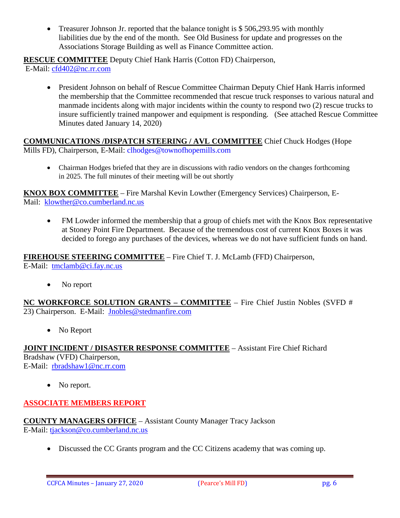• Treasurer Johnson Jr. reported that the balance tonight is \$506,293.95 with monthly liabilities due by the end of the month. See Old Business for update and progresses on the Associations Storage Building as well as Finance Committee action.

**RESCUE COMMITTEE** Deputy Chief Hank Harris (Cotton FD) Chairperson,

E-Mail: [cfd402@nc.rr.com](mailto:cfd402@nc.rr.com)

• President Johnson on behalf of Rescue Committee Chairman Deputy Chief Hank Harris informed the membership that the Committee recommended that rescue truck responses to various natural and manmade incidents along with major incidents within the county to respond two (2) rescue trucks to insure sufficiently trained manpower and equipment is responding. (See attached Rescue Committee Minutes dated January 14, 2020)

**COMMUNICATIONS /DISPATCH STEERING / AVL COMMITTEE** Chief Chuck Hodges (Hope Mills FD), Chairperson, E-Mail: clhodges@townofhopemills.com

• Chairman Hodges briefed that they are in discussions with radio vendors on the changes forthcoming in 2025. The full minutes of their meeting will be out shortly

**KNOX BOX COMMITTEE** – Fire Marshal Kevin Lowther (Emergency Services) Chairperson, E-Mail: [klowther@co.cumberland.nc.us](mailto:klowther@co.cumberland.nc.us)

• FM Lowder informed the membership that a group of chiefs met with the Knox Box representative at Stoney Point Fire Department. Because of the tremendous cost of current Knox Boxes it was decided to forego any purchases of the devices, whereas we do not have sufficient funds on hand.

**FIREHOUSE STEERING COMMITTEE** – Fire Chief T. J. McLamb (FFD) Chairperson, E-Mail: [tmclamb@ci.fay.nc.us](mailto:tmclamb@ci.fay.nc.us)

• No report

**NC WORKFORCE SOLUTION GRANTS – COMMITTEE** – Fire Chief Justin Nobles (SVFD # 23) Chairperson. E-Mail: [Jnobles@stedmanfire.com](mailto:Jnobles@stedmanfire.com)

• No Report

**JOINT INCIDENT / DISASTER RESPONSE COMMITTEE** – Assistant Fire Chief Richard Bradshaw (VFD) Chairperson, E-Mail: [rbradshaw1@nc.rr.com](mailto:rbradshaw1@nc.rr.com)

• No report.

# **ASSOCIATE MEMBERS REPORT**

**COUNTY MANAGERS OFFICE** – Assistant County Manager Tracy Jackson E-Mail: [tjackson@co.cumberland.nc.us](mailto:tjackson@co.cumberland.nc.us)

• Discussed the CC Grants program and the CC Citizens academy that was coming up.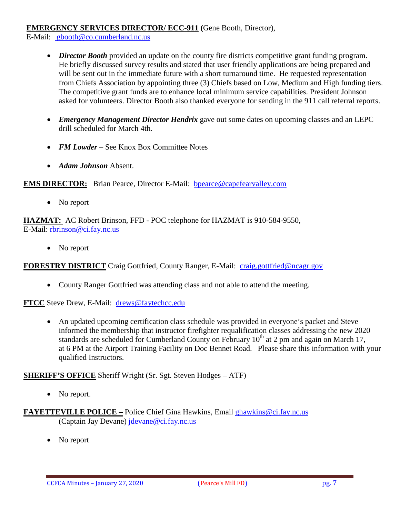#### **EMERGENCY SERVICES DIRECTOR/ ECC-911 (**Gene Booth, Director),

E-Mail: [gbooth@co.cumberland.nc.us](mailto:gbooth@co.cumberland.nc.us)

- *Director Booth* provided an update on the county fire districts competitive grant funding program. He briefly discussed survey results and stated that user friendly applications are being prepared and will be sent out in the immediate future with a short turnaround time. He requested representation from Chiefs Association by appointing three (3) Chiefs based on Low, Medium and High funding tiers. The competitive grant funds are to enhance local minimum service capabilities. President Johnson asked for volunteers. Director Booth also thanked everyone for sending in the 911 call referral reports.
- *Emergency Management Director Hendrix* gave out some dates on upcoming classes and an LEPC drill scheduled for March 4th.
- *FM Lowder* See Knox Box Committee Notes
- *Adam Johnson* Absent.

**EMS DIRECTOR:** Brian Pearce, Director E-Mail: bpearce@capefearvalley.com

• No report

**HAZMAT:** AC Robert Brinson, FFD - POC telephone for HAZMAT is 910-584-9550, E-Mail: [rbrinson@ci.fay.nc.us](mailto:rbrinson@ci.fay.nc.us)

• No report

FORESTRY DISTRICT Craig Gottfried, County Ranger, E-Mail: [craig.gottfried@ncagr.gov](mailto:craig.gottfried@ncagr.gov)

• County Ranger Gottfried was attending class and not able to attend the meeting.

**FTCC** Steve Drew, E-Mail: [drews@faytechcc.edu](mailto:drews@faytechcc.edu)

• An updated upcoming certification class schedule was provided in everyone's packet and Steve informed the membership that instructor firefighter requalification classes addressing the new 2020 standards are scheduled for Cumberland County on February  $10<sup>th</sup>$  at 2 pm and again on March 17, at 6 PM at the Airport Training Facility on Doc Bennet Road. Please share this information with your qualified Instructors.

**SHERIFF'S OFFICE** Sheriff Wright (Sr. Sgt. Steven Hodges – ATF)

• No report.

**FAYETTEVILLE POLICE –** Police Chief Gina Hawkins, Email [ghawkins@ci.fay.nc.us](mailto:ghawkins@ci.fay.nc.us)  (Captain Jay Devane) [jdevane@ci.fay.nc.us](mailto:jdevane@ci.fay.nc.us)

• No report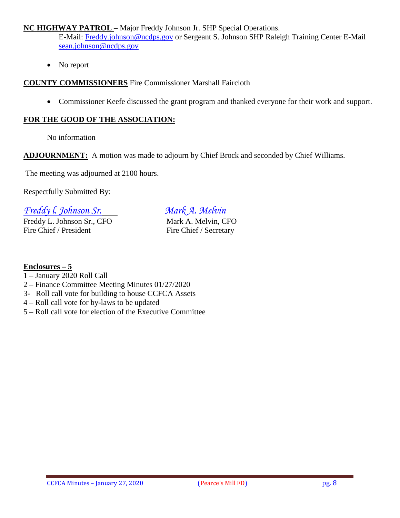#### **NC HIGHWAY PATROL** – Major Freddy Johnson Jr. SHP Special Operations.

E-Mail: [Freddy.johnson@ncdps.gov](mailto:Freddy.johnson@ncdps.gov) or Sergeant S. Johnson SHP Raleigh Training Center E-Mail [sean.johnson@ncdps.gov](mailto:sean.johnson@ncdps.gov)

• No report

**COUNTY COMMISSIONERS** Fire Commissioner Marshall Faircloth

• Commissioner Keefe discussed the grant program and thanked everyone for their work and support.

#### **FOR THE GOOD OF THE ASSOCIATION:**

No information

**ADJOURNMENT:** A motion was made to adjourn by Chief Brock and seconded by Chief Williams.

The meeting was adjourned at 2100 hours.

Respectfully Submitted By:

*Freddy l. Johnson Sr. Mark A. Melvin*

Freddy L. Johnson Sr., CFO Mark A. Melvin, CFO Fire Chief / President Fire Chief / Secretary

### **Enclosures – 5**

- 1 January 2020 Roll Call
- 2 Finance Committee Meeting Minutes 01/27/2020
- 3- Roll call vote for building to house CCFCA Assets
- 4 Roll call vote for by-laws to be updated
- 5 Roll call vote for election of the Executive Committee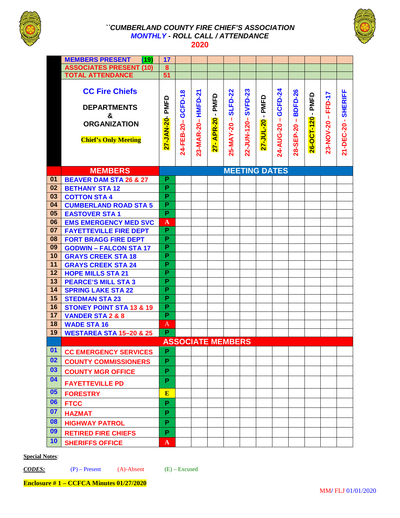

#### *``CUMBERLAND COUNTY FIRE CHIEF'S ASSOCIATION MONTHLY - ROLL CALL / ATTENDANCE*  **2020**



|    | <b>MEMBERS PRESENT</b><br>(19)                                                                         | 17                      |                       |                       |                                                   |                                             |                        |                                     |                            |                                   |                   |                         |                              |
|----|--------------------------------------------------------------------------------------------------------|-------------------------|-----------------------|-----------------------|---------------------------------------------------|---------------------------------------------|------------------------|-------------------------------------|----------------------------|-----------------------------------|-------------------|-------------------------|------------------------------|
|    | <b>ASSOCIATES PRESENT (10)</b>                                                                         | 8                       |                       |                       |                                                   |                                             |                        |                                     |                            |                                   |                   |                         |                              |
|    | <b>TOTAL ATTENDANCE</b>                                                                                | 51                      |                       |                       |                                                   |                                             |                        |                                     |                            |                                   |                   |                         |                              |
|    | <b>CC Fire Chiefs</b><br><b>DEPARTMENTS</b><br>&<br><b>ORGANIZATION</b><br><b>Chief's Only Meeting</b> | PMFD<br>27-JAN-20-      | GCFD-18<br>24-FEB-20- | HMFD-21<br>23-MAR-20- | PMFD<br>$\blacksquare$<br><b>APR-20</b><br>$27 -$ | <b>SLFD-22</b><br>$\mathbf{I}$<br>25-MAY-20 | SVFD-23<br>22-JUN-120- | PMFD<br>$\blacksquare$<br>27-JUL-20 | GCFD-24<br>-1<br>24-AUG-20 | <b>BDFD-26</b><br>л.<br>28-SEP-20 | 26-OCT-120 - PMFD | FFD-17<br>$23-NOV-20 -$ | <b>SHERIFF</b><br>21-DEC-20- |
|    | <b>MEMBERS</b>                                                                                         |                         |                       |                       |                                                   |                                             | <b>MEETING DATES</b>   |                                     |                            |                                   |                   |                         |                              |
| 01 | <b>BEAVER DAM STA 26 &amp; 27</b>                                                                      | P                       |                       |                       |                                                   |                                             |                        |                                     |                            |                                   |                   |                         |                              |
| 02 | <b>BETHANY STA12</b>                                                                                   | P                       |                       |                       |                                                   |                                             |                        |                                     |                            |                                   |                   |                         |                              |
| 03 | <b>COTTON STA 4</b>                                                                                    | P                       |                       |                       |                                                   |                                             |                        |                                     |                            |                                   |                   |                         |                              |
| 04 | <b>CUMBERLAND ROAD STA 5</b>                                                                           | $\overline{\mathsf{P}}$ |                       |                       |                                                   |                                             |                        |                                     |                            |                                   |                   |                         |                              |
| 05 | <b>EASTOVER STA1</b>                                                                                   | P                       |                       |                       |                                                   |                                             |                        |                                     |                            |                                   |                   |                         |                              |
| 06 | <b>EMS EMERGENCY MED SVC</b>                                                                           | A                       |                       |                       |                                                   |                                             |                        |                                     |                            |                                   |                   |                         |                              |
| 07 | <b>FAYETTEVILLE FIRE DEPT</b>                                                                          | P                       |                       |                       |                                                   |                                             |                        |                                     |                            |                                   |                   |                         |                              |
| 08 | <b>FORT BRAGG FIRE DEPT</b>                                                                            | P                       |                       |                       |                                                   |                                             |                        |                                     |                            |                                   |                   |                         |                              |
| 09 | <b>GODWIN - FALCON STA 17</b>                                                                          | P                       |                       |                       |                                                   |                                             |                        |                                     |                            |                                   |                   |                         |                              |
| 10 | <b>GRAYS CREEK STA 18</b>                                                                              | P                       |                       |                       |                                                   |                                             |                        |                                     |                            |                                   |                   |                         |                              |
| 11 | <b>GRAYS CREEK STA 24</b>                                                                              | P                       |                       |                       |                                                   |                                             |                        |                                     |                            |                                   |                   |                         |                              |
| 12 | <b>HOPE MILLS STA 21</b>                                                                               | P                       |                       |                       |                                                   |                                             |                        |                                     |                            |                                   |                   |                         |                              |
| 13 | <b>PEARCE'S MILL STA 3</b>                                                                             | $\overline{\mathsf{P}}$ |                       |                       |                                                   |                                             |                        |                                     |                            |                                   |                   |                         |                              |
| 14 | <b>SPRING LAKE STA 22</b>                                                                              | P                       |                       |                       |                                                   |                                             |                        |                                     |                            |                                   |                   |                         |                              |
| 15 | <b>STEDMAN STA 23</b>                                                                                  | P                       |                       |                       |                                                   |                                             |                        |                                     |                            |                                   |                   |                         |                              |
| 16 | <b>STONEY POINT STA 13 &amp; 19</b>                                                                    | P                       |                       |                       |                                                   |                                             |                        |                                     |                            |                                   |                   |                         |                              |
| 17 | <b>VANDER STA 2 &amp; 8</b>                                                                            | P                       |                       |                       |                                                   |                                             |                        |                                     |                            |                                   |                   |                         |                              |
| 18 | <b>WADE STA 16</b>                                                                                     | A                       |                       |                       |                                                   |                                             |                        |                                     |                            |                                   |                   |                         |                              |
| 19 | <b>WESTAREA STA 15-20 &amp; 25</b>                                                                     | P                       |                       |                       |                                                   |                                             |                        |                                     |                            |                                   |                   |                         |                              |
|    |                                                                                                        |                         |                       |                       | <b>ASSOCIATE MEMBERS</b>                          |                                             |                        |                                     |                            |                                   |                   |                         |                              |
| 01 | <b>CC EMERGENCY SERVICES</b>                                                                           | P                       |                       |                       |                                                   |                                             |                        |                                     |                            |                                   |                   |                         |                              |
| 02 | <b>COUNTY COMMISSIONERS</b>                                                                            | P                       |                       |                       |                                                   |                                             |                        |                                     |                            |                                   |                   |                         |                              |
| 03 | <b>COUNTY MGR OFFICE</b>                                                                               | P                       |                       |                       |                                                   |                                             |                        |                                     |                            |                                   |                   |                         |                              |
| 04 | <b>FAYETTEVILLE PD</b>                                                                                 | P                       |                       |                       |                                                   |                                             |                        |                                     |                            |                                   |                   |                         |                              |
| 05 | <b>FORESTRY</b>                                                                                        | E                       |                       |                       |                                                   |                                             |                        |                                     |                            |                                   |                   |                         |                              |
| 06 | <b>FTCC</b>                                                                                            | P                       |                       |                       |                                                   |                                             |                        |                                     |                            |                                   |                   |                         |                              |
| 07 | <b>HAZMAT</b>                                                                                          | P                       |                       |                       |                                                   |                                             |                        |                                     |                            |                                   |                   |                         |                              |
| 08 | <b>HIGHWAY PATROL</b>                                                                                  | P                       |                       |                       |                                                   |                                             |                        |                                     |                            |                                   |                   |                         |                              |
| 09 | <b>RETIRED FIRE CHIEFS</b>                                                                             | P                       |                       |                       |                                                   |                                             |                        |                                     |                            |                                   |                   |                         |                              |
| 10 | <b>SHERIFFS OFFICE</b>                                                                                 | A                       |                       |                       |                                                   |                                             |                        |                                     |                            |                                   |                   |                         |                              |

#### **Special Notes**:

*CODES:* (P) – Present (A)-Absent (E) – Excused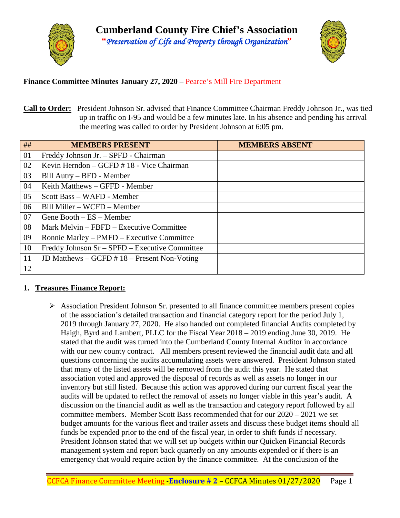



### **Finance Committee Minutes January 27, 2020** – Pearce's Mill Fire Department

**Call to Order:** President Johnson Sr. advised that Finance Committee Chairman Freddy Johnson Jr., was tied up in traffic on I-95 and would be a few minutes late. In his absence and pending his arrival the meeting was called to order by President Johnson at 6:05 pm.

| ## | <b>MEMBERS PRESENT</b>                              | <b>MEMBERS ABSENT</b> |
|----|-----------------------------------------------------|-----------------------|
| 01 | Freddy Johnson Jr. - SPFD - Chairman                |                       |
| 02 | Kevin Herndon – GCFD # 18 - Vice Chairman           |                       |
| 03 | Bill Autry – BFD - Member                           |                       |
| 04 | Keith Matthews – GFFD - Member                      |                       |
| 05 | Scott Bass – WAFD - Member                          |                       |
| 06 | Bill Miller – WCFD – Member                         |                       |
| 07 | Gene Booth $-ES - Member$                           |                       |
| 08 | Mark Melvin – FBFD – Executive Committee            |                       |
| 09 | Ronnie Marley – PMFD – Executive Committee          |                       |
| 10 | Freddy Johnson Sr - SPFD - Executive Committee      |                       |
| 11 | JD Matthews $-$ GCFD $\#$ 18 $-$ Present Non-Voting |                       |
| 12 |                                                     |                       |

#### **1. Treasures Finance Report:**

 $\triangleright$  Association President Johnson Sr. presented to all finance committee members present copies of the association's detailed transaction and financial category report for the period July 1, 2019 through January 27, 2020. He also handed out completed financial Audits completed by Haigh, Byrd and Lambert, PLLC for the Fiscal Year 2018 – 2019 ending June 30, 2019. He stated that the audit was turned into the Cumberland County Internal Auditor in accordance with our new county contract. All members present reviewed the financial audit data and all questions concerning the audits accumulating assets were answered. President Johnson stated that many of the listed assets will be removed from the audit this year. He stated that association voted and approved the disposal of records as well as assets no longer in our inventory but still listed. Because this action was approved during our current fiscal year the audits will be updated to reflect the removal of assets no longer viable in this year's audit. A discussion on the financial audit as well as the transaction and category report followed by all committee members. Member Scott Bass recommended that for our 2020 – 2021 we set budget amounts for the various fleet and trailer assets and discuss these budget items should all funds be expended prior to the end of the fiscal year, in order to shift funds if necessary. President Johnson stated that we will set up budgets within our Quicken Financial Records management system and report back quarterly on any amounts expended or if there is an emergency that would require action by the finance committee. At the conclusion of the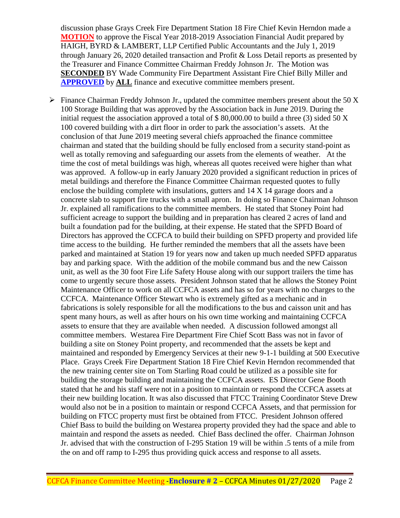discussion phase Grays Creek Fire Department Station 18 Fire Chief Kevin Herndon made a **MOTION** to approve the Fiscal Year 2018-2019 Association Financial Audit prepared by HAIGH, BYRD & LAMBERT, LLP Certified Public Accountants and the July 1, 2019 through January 26, 2020 detailed transaction and Profit & Loss Detail reports as presented by the Treasurer and Finance Committee Chairman Freddy Johnson Jr. The Motion was **SECONDED** BY Wade Community Fire Department Assistant Fire Chief Billy Miller and **APPROVED** by **ALL** finance and executive committee members present.

 $\triangleright$  Finance Chairman Freddy Johnson Jr., updated the committee members present about the 50 X 100 Storage Building that was approved by the Association back in June 2019. During the initial request the association approved a total of  $$80,000.00$  to build a three (3) sided 50 X 100 covered building with a dirt floor in order to park the association's assets. At the conclusion of that June 2019 meeting several chiefs approached the finance committee chairman and stated that the building should be fully enclosed from a security stand-point as well as totally removing and safeguarding our assets from the elements of weather. At the time the cost of metal buildings was high, whereas all quotes received were higher than what was approved. A follow-up in early January 2020 provided a significant reduction in prices of metal buildings and therefore the Finance Committee Chairman requested quotes to fully enclose the building complete with insulations, gutters and 14 X 14 garage doors and a concrete slab to support fire trucks with a small apron. In doing so Finance Chairman Johnson Jr. explained all ramifications to the committee members. He stated that Stoney Point had sufficient acreage to support the building and in preparation has cleared 2 acres of land and built a foundation pad for the building, at their expense. He stated that the SPFD Board of Directors has approved the CCFCA to build their building on SPFD property and provided life time access to the building. He further reminded the members that all the assets have been parked and maintained at Station 19 for years now and taken up much needed SPFD apparatus bay and parking space. With the addition of the mobile command bus and the new Caisson unit, as well as the 30 foot Fire Life Safety House along with our support trailers the time has come to urgently secure those assets. President Johnson stated that he allows the Stoney Point Maintenance Officer to work on all CCFCA assets and has so for years with no charges to the CCFCA. Maintenance Officer Stewart who is extremely gifted as a mechanic and in fabrications is solely responsible for all the modifications to the bus and caisson unit and has spent many hours, as well as after hours on his own time working and maintaining CCFCA assets to ensure that they are available when needed. A discussion followed amongst all committee members. Westarea Fire Department Fire Chief Scott Bass was not in favor of building a site on Stoney Point property, and recommended that the assets be kept and maintained and responded by Emergency Services at their new 9-1-1 building at 500 Executive Place. Grays Creek Fire Department Station 18 Fire Chief Kevin Herndon recommended that the new training center site on Tom Starling Road could be utilized as a possible site for building the storage building and maintaining the CCFCA assets. ES Director Gene Booth stated that he and his staff were not in a position to maintain or respond the CCFCA assets at their new building location. It was also discussed that FTCC Training Coordinator Steve Drew would also not be in a position to maintain or respond CCFCA Assets, and that permission for building on FTCC property must first be obtained from FTCC. President Johnson offered Chief Bass to build the building on Westarea property provided they had the space and able to maintain and respond the assets as needed. Chief Bass declined the offer. Chairman Johnson Jr. advised that with the construction of I-295 Station 19 will be within .5 tents of a mile from the on and off ramp to I-295 thus providing quick access and response to all assets.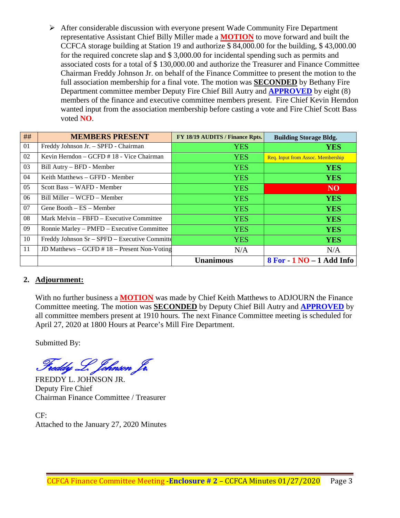After considerable discussion with everyone present Wade Community Fire Department representative Assistant Chief Billy Miller made a **MOTION** to move forward and built the CCFCA storage building at Station 19 and authorize \$ 84,000.00 for the building, \$ 43,000.00 for the required concrete slap and \$ 3,000.00 for incidental spending such as permits and associated costs for a total of \$ 130,000.00 and authorize the Treasurer and Finance Committee Chairman Freddy Johnson Jr. on behalf of the Finance Committee to present the motion to the full association membership for a final vote. The motion was **SECONDED** by Bethany Fire Department committee member Deputy Fire Chief Bill Autry and **APPROVED** by eight (8) members of the finance and executive committee members present. Fire Chief Kevin Herndon wanted input from the association membership before casting a vote and Fire Chief Scott Bass voted **NO**.

| ##             | <b>MEMBERS PRESENT</b>                              | FY 18/19 AUDITS / Finance Rpts. | <b>Building Storage Bldg.</b>     |
|----------------|-----------------------------------------------------|---------------------------------|-----------------------------------|
| 01             | Freddy Johnson Jr. - SPFD - Chairman                | <b>YES</b>                      | <b>YES</b>                        |
| 02             | Kevin Herndon $-$ GCFD $\#$ 18 - Vice Chairman      | <b>YES</b>                      | Req. Input from Assoc. Membership |
| 03             | Bill Autry – BFD - Member                           | <b>YES</b>                      | <b>YES</b>                        |
| 04             | Keith Matthews – GFFD - Member                      | <b>YES</b>                      | <b>YES</b>                        |
| 0 <sub>5</sub> | Scott Bass – WAFD - Member                          | <b>YES</b>                      | <b>NO</b>                         |
| 06             | Bill Miller – WCFD – Member                         | <b>YES</b>                      | <b>YES</b>                        |
| 07             | Gene Booth $-ES - Member$                           | <b>YES</b>                      | <b>YES</b>                        |
| 08             | Mark Melvin – FBFD – Executive Committee            | <b>YES</b>                      | <b>YES</b>                        |
| 09             | Ronnie Marley – PMFD – Executive Committee          | <b>YES</b>                      | <b>YES</b>                        |
| 10             | Freddy Johnson $Sr - SPPD - Executive$ Committe     | <b>YES</b>                      | <b>YES</b>                        |
| 11             | JD Matthews $-$ GCFD $\#$ 18 $-$ Present Non-Voting | N/A                             | N/A                               |
|                |                                                     | <b>Unanimous</b>                | $8$ For $-1$ NO $-1$ Add Info     |

#### **2. Adjournment:**

With no further business a **MOTION** was made by Chief Keith Matthews to ADJOURN the Finance Committee meeting. The motion was **SECONDED** by Deputy Chief Bill Autry and **APPROVED** by all committee members present at 1910 hours. The next Finance Committee meeting is scheduled for April 27, 2020 at 1800 Hours at Pearce's Mill Fire Department.

Submitted By:

Freddy L. Johnson Jr.

FREDDY L. JOHNSON JR. Deputy Fire Chief Chairman Finance Committee / Treasurer

CF: Attached to the January 27, 2020 Minutes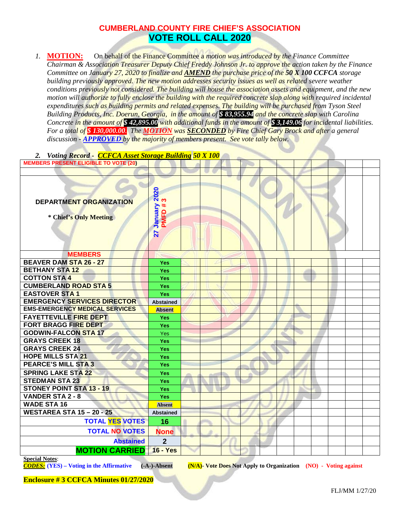# **CUMBERLAND COUNTY FIRE CHIEF'S ASSOCIATION VOTE ROLL CALL 2020**

*1.* **MOTION:** On behalf of the Finance Committee a *motion was introduced by the Finance Committee Chairman & Association Treasurer Deputy Chief Freddy Johnson Jr. to approve the action taken by the Finance Committee on January 27, 2020 to finalize and AMEND the purchase price of the 50 X 100 CCFCA storage building previously approved. The new motion addresses security issues as well as related severe weather conditions previously not considered. The building will house the association assets and equipment, and the new motion will authorize to fully enclose the building with the required concrete slap along with required incidental expenditures such as building permits and related expenses. The building will be purchased from Tyson Steel Building Products, Inc. Doerun, Georgia, in the amount of \$ 83,955.94 and the concrete slap with Carolina Concrete in the amount of \$ 42,895.00 with additional funds in the amount of \$ 3,149.06 for incidental liabilities. For a total of \$ 130,000.00. The MOTION was SECONDED by Fire Chief Gary Brock and after a general discussion - APPROVED by the majority of members present. See vote tally below.* 

#### *2. Voting Record - CCFCA Asset Storage Building 50 X 100*

| <b>MEMBERS PRESENT ELIGIBLE TO VOTE (20)</b>      |                             |  |  |  |  |  |  |
|---------------------------------------------------|-----------------------------|--|--|--|--|--|--|
|                                                   |                             |  |  |  |  |  |  |
| DEPARTMENT ORGANIZATION<br>* Chief's Only Meeting | 27 January 2020<br>PMFD # 3 |  |  |  |  |  |  |
| <b>MEMBERS</b><br><b>BEAVER DAM STA 26 - 27</b>   |                             |  |  |  |  |  |  |
| <b>BETHANY STA12</b>                              | <b>Yes</b>                  |  |  |  |  |  |  |
| <b>COTTON STA 4</b>                               | Yes<br><b>Yes</b>           |  |  |  |  |  |  |
| <b>CUMBERLAND ROAD STA 5</b>                      | <b>Yes</b>                  |  |  |  |  |  |  |
| <b>EASTOVER STA1</b>                              | Yes                         |  |  |  |  |  |  |
| <b>EMERGENCY SERVICES DIRECTOR</b>                | <b>Abstained</b>            |  |  |  |  |  |  |
| <b>EMS-EMERGENCY MEDICAL SERVICES</b>             | <b>Absent</b>               |  |  |  |  |  |  |
| <b>FAYETTEVILLE FIRE DEPT</b>                     | <b>Yes</b>                  |  |  |  |  |  |  |
| <b>FORT BRAGG FIRE DEPT</b>                       | <b>Yes</b>                  |  |  |  |  |  |  |
| <b>GODWIN-FALCON STA 17</b>                       | <b>Yes</b>                  |  |  |  |  |  |  |
| <b>GRAYS CREEK 18</b>                             | <b>Yes</b>                  |  |  |  |  |  |  |
| <b>GRAYS CREEK 24</b>                             | <b>Yes</b>                  |  |  |  |  |  |  |
| <b>HOPE MILLS STA 21</b>                          | <b>Yes</b>                  |  |  |  |  |  |  |
| <b>PEARCE'S MILL STA 3</b>                        | <b>Yes</b>                  |  |  |  |  |  |  |
| <b>SPRING LAKE STA 22</b>                         | <b>Yes</b>                  |  |  |  |  |  |  |
| <b>STEDMAN STA 23</b>                             | <b>Yes</b>                  |  |  |  |  |  |  |
| <b>STONEY POINT STA 13 - 19</b>                   | <b>Yes</b>                  |  |  |  |  |  |  |
| <b>VANDER STA 2 - 8</b>                           | <b>Yes</b>                  |  |  |  |  |  |  |
| <b>WADE STA 16</b>                                | <b>Absent</b>               |  |  |  |  |  |  |
| <b>WESTAREA STA 15 - 20 - 25</b>                  | <b>Abstained</b>            |  |  |  |  |  |  |
| <b>TOTAL YES VOTES</b>                            | 16                          |  |  |  |  |  |  |
| <b>TOTAL NO VOTES</b>                             | <b>None</b>                 |  |  |  |  |  |  |
| <b>Abstained</b>                                  | $\overline{2}$              |  |  |  |  |  |  |
| <b>MOTION CARRIED</b>                             | <b>16 - Yes</b>             |  |  |  |  |  |  |
|                                                   |                             |  |  |  |  |  |  |

**Special Notes:**<br>**CODES:** (YES) – Voting in the Affirmative

*CODES:* **(YES) – Voting in the Affirmative (-A-)-Absent (N/A)- Vote Does Not Apply to Organization (NO) - Voting against**

**Enclosure # 3 CCFCA Minutes 01/27/2020**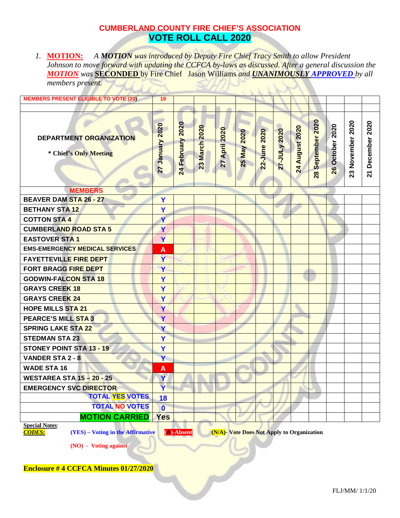# **CUMBERLAND COUNTY FIRE CHIEF'S ASSOCIATION VOTE ROLL CALL 2020**

*1.* **MOTION:** *A MOTION was introduced by Deputy Fire Chief Tracy Smith to allow President Johnson to move forward with updating the CCFCA by-laws as discussed. After a general discussion the MOTION was* **SECONDED** by Fire Chief Jason Williams *and UNANIMOUSLY APPROVED by all members present.* 

| <b>MEMBERS PRESENT ELIGIBLE TO VOTE (20)</b>      | 18              |                  |               |               |             |              |              |                |                   |                 |                  |                  |
|---------------------------------------------------|-----------------|------------------|---------------|---------------|-------------|--------------|--------------|----------------|-------------------|-----------------|------------------|------------------|
|                                                   |                 |                  |               |               |             |              |              |                |                   |                 |                  |                  |
| DEPARTMENT ORGANIZATION<br>* Chief's Only Meeting | 27 January 2020 | 24 February 2020 | 23 March 2020 | 27 April 2020 | 25 May 2020 | 22-June 2020 | 27-JULy 2020 | 24 August 2020 | 28 September 2020 | 26 October 2020 | 23 November 2020 | 21 December 2020 |
| <b>MEMBERS</b>                                    |                 |                  |               |               |             |              |              |                |                   |                 |                  |                  |
| <b>BEAVER DAM STA 26 - 27</b>                     | Y               |                  |               |               |             |              |              |                |                   |                 |                  |                  |
| <b>BETHANY STA 12</b>                             | Y               |                  |               |               |             |              |              |                |                   |                 |                  |                  |
| <b>COTTON STA 4</b>                               | Ÿ               |                  |               |               |             |              |              |                |                   |                 |                  |                  |
| <b>CUMBERLAND ROAD STA 5</b>                      | Y               |                  |               |               |             |              |              |                |                   |                 |                  |                  |
| <b>EASTOVER STA1</b>                              | Ÿ               |                  |               |               |             |              |              |                |                   |                 |                  |                  |
| <b>EMS-EMERGENCY MEDICAL SERVICES</b>             | A               |                  |               |               |             |              |              |                |                   |                 |                  |                  |
| <b>FAYETTEVILLE FIRE DEPT</b>                     | Y               |                  |               |               |             |              |              |                |                   |                 |                  |                  |
| <b>FORT BRAGG FIRE DEPT</b>                       | Y               |                  |               |               |             |              |              |                |                   |                 |                  |                  |
| <b>GODWIN-FALCON STA 18</b>                       | Y               |                  |               |               |             |              |              |                |                   |                 |                  |                  |
| <b>GRAYS CREEK 18</b>                             | Y               |                  |               |               |             |              |              |                |                   |                 |                  |                  |
| <b>GRAYS CREEK 24</b>                             | Y               |                  |               |               |             |              |              |                |                   |                 |                  |                  |
| <b>HOPE MILLS STA 21</b>                          | Ÿ               |                  |               |               |             |              |              |                |                   |                 |                  |                  |
| <b>PEARCE'S MILL STA 3</b>                        | Y               |                  |               |               |             |              |              |                |                   |                 |                  |                  |
| <b>SPRING LAKE STA 22</b>                         | Y               |                  |               |               |             |              |              |                |                   |                 |                  |                  |
| <b>STEDMAN STA 23</b>                             | Y               |                  |               |               |             |              |              |                |                   |                 |                  |                  |
| STONEY POINT STA 13 - 19                          | Y               |                  |               |               |             |              |              |                |                   |                 |                  |                  |
| <b>VANDER STA 2 - 8</b>                           | Y               |                  |               |               |             |              |              |                |                   |                 |                  |                  |
| <b>WADE STA 16</b>                                | A               |                  |               |               |             |              |              |                |                   |                 |                  |                  |
| <b>WESTAREA STA 15-20-25</b>                      | Ÿ               |                  |               |               |             |              |              |                |                   |                 |                  |                  |
| <b>EMERGENCY SVC DIRECTOR</b>                     | Ÿ               |                  |               |               |             |              |              |                |                   |                 |                  |                  |
| <b>TOTAL YES VOTES</b>                            | 18              |                  |               |               |             |              |              |                |                   |                 |                  |                  |
| <b>TOTAL NO VOTES</b>                             | $\mathbf 0$     |                  |               |               |             |              |              |                |                   |                 |                  |                  |
| <b>MOTION CARRIED</b>                             | <b>Yes</b>      |                  |               |               |             |              |              |                |                   |                 |                  |                  |
| <b>Special Notes:</b>                             |                 |                  |               |               |             |              |              |                |                   |                 |                  |                  |

*CODES:* **(YES) – Voting in the Affirmative (A)-Absent (N/A)- Vote Does Not Apply to Organization**

**(NO) - Voting against**

**Enclosure # 4 CCFCA Minutes 01/27/2020**